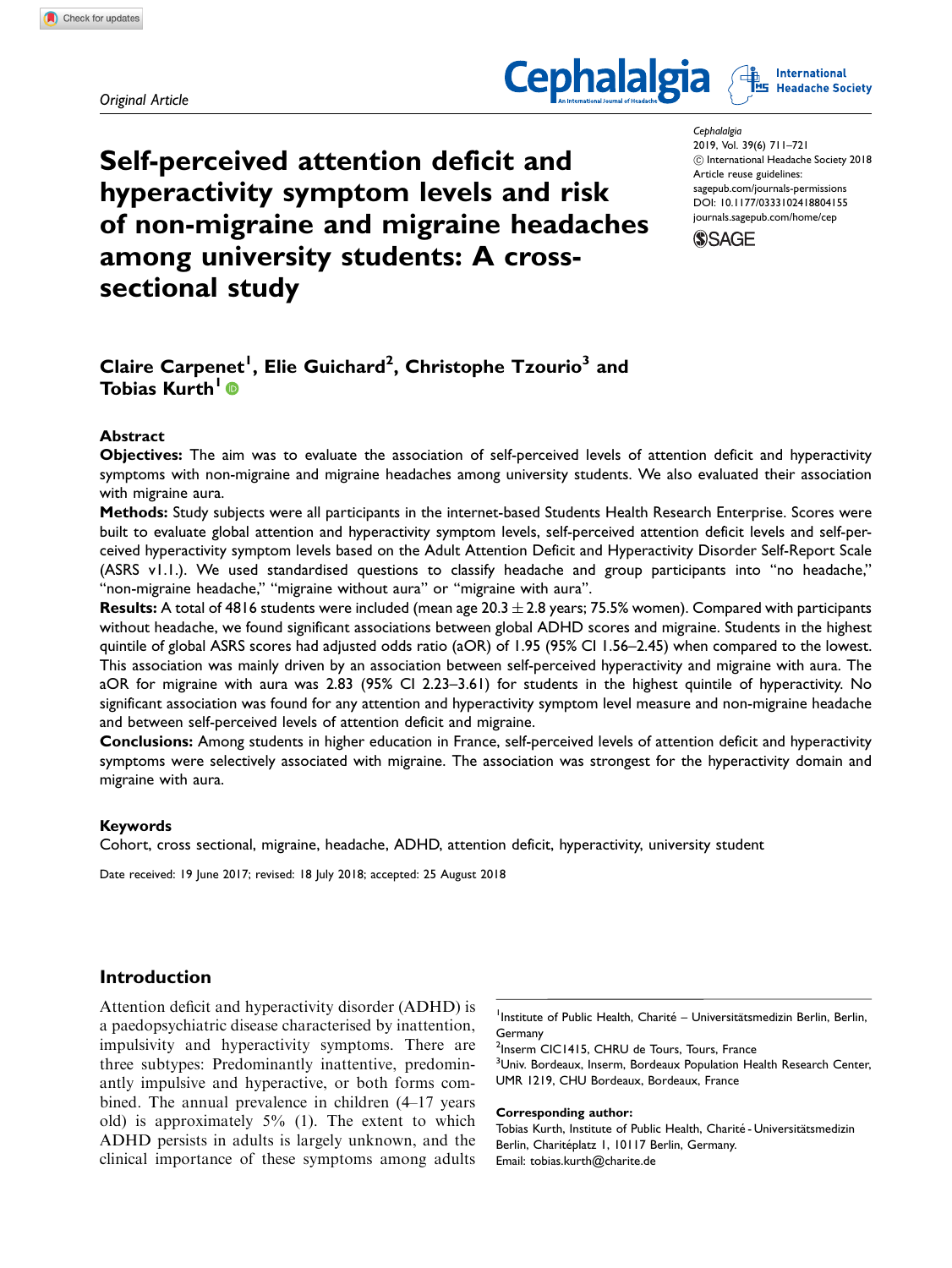Original Article





Self-perceived attention deficit and hyperactivity symptom levels and risk of non-migraine and migraine headaches among university students: A crosssectional study

**Cephalalgia** 2019, Vol. 39(6) 711–721  $\copyright$  International Headache Society 2018 Article reuse guidelines: [sagepub.com/journals-permissions](https://uk.sagepub.com/en-gb/journals-permissions) DOI: [10.1177/0333102418804155](https://doi.org/10.1177/0333102418804155) <journals.sagepub.com/home/cep>



# Claire Carpenet<sup>1</sup>, Elie Guichard<sup>2</sup>, Christophe Tzourio $^3$  and Tobias Kurth<sup>1</sup>

### Abstract

Objectives: The aim was to evaluate the association of self-perceived levels of attention deficit and hyperactivity symptoms with non-migraine and migraine headaches among university students. We also evaluated their association with migraine aura.

Methods: Study subjects were all participants in the internet-based Students Health Research Enterprise. Scores were built to evaluate global attention and hyperactivity symptom levels, self-perceived attention deficit levels and self-perceived hyperactivity symptom levels based on the Adult Attention Deficit and Hyperactivity Disorder Self-Report Scale (ASRS v1.1.). We used standardised questions to classify headache and group participants into ''no headache,'' ''non-migraine headache,'' ''migraine without aura'' or ''migraine with aura''.

**Results:** A total of 4816 students were included (mean age 20.3  $\pm$  2.8 years; 75.5% women). Compared with participants without headache, we found significant associations between global ADHD scores and migraine. Students in the highest quintile of global ASRS scores had adjusted odds ratio (aOR) of 1.95 (95% CI 1.56–2.45) when compared to the lowest. This association was mainly driven by an association between self-perceived hyperactivity and migraine with aura. The aOR for migraine with aura was 2.83 (95% CI 2.23–3.61) for students in the highest quintile of hyperactivity. No significant association was found for any attention and hyperactivity symptom level measure and non-migraine headache and between self-perceived levels of attention deficit and migraine.

Conclusions: Among students in higher education in France, self-perceived levels of attention deficit and hyperactivity symptoms were selectively associated with migraine. The association was strongest for the hyperactivity domain and migraine with aura.

#### Keywords

Cohort, cross sectional, migraine, headache, ADHD, attention deficit, hyperactivity, university student

Date received: 19 June 2017; revised: 18 July 2018; accepted: 25 August 2018

### Introduction

Attention deficit and hyperactivity disorder (ADHD) is a paedopsychiatric disease characterised by inattention, impulsivity and hyperactivity symptoms. There are three subtypes: Predominantly inattentive, predominantly impulsive and hyperactive, or both forms combined. The annual prevalence in children (4–17 years old) is approximately 5% (1). The extent to which ADHD persists in adults is largely unknown, and the clinical importance of these symptoms among adults

<sup>1</sup>Institute of Public Health, Charité – Universitätsmedizin Berlin, Berlin, Germany

<sup>2</sup>Inserm CIC1415, CHRU de Tours, Tours, France

<sup>3</sup>Univ. Bordeaux, Inserm, Bordeaux Population Health Research Center, UMR 1219, CHU Bordeaux, Bordeaux, France

#### Corresponding author:

Tobias Kurth, Institute of Public Health, Charité - Universitätsmedizin Berlin, Charitéplatz 1, 10117 Berlin, Germany. Email: tobias.kurth@charite.de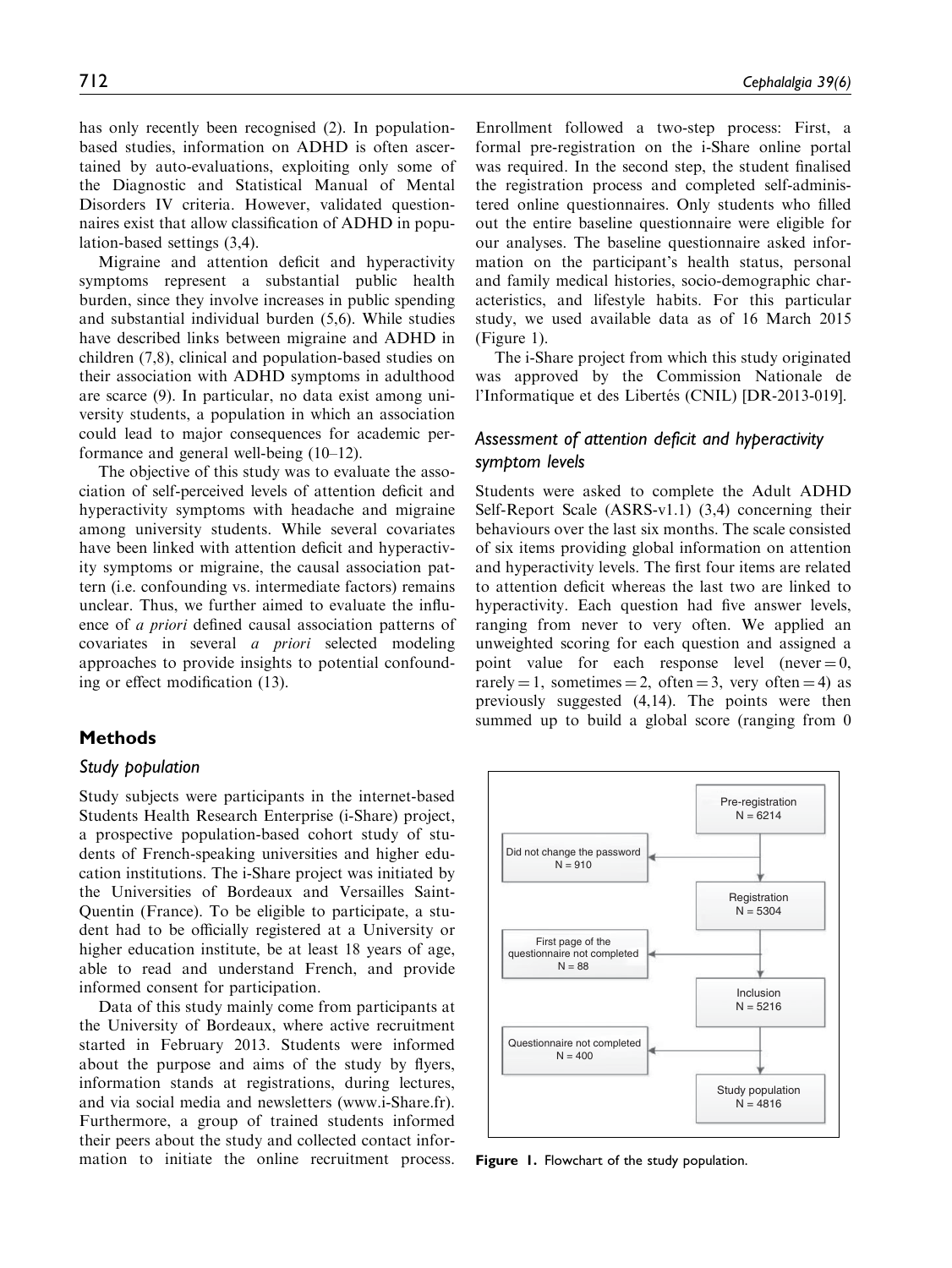has only recently been recognised (2). In populationbased studies, information on ADHD is often ascertained by auto-evaluations, exploiting only some of the Diagnostic and Statistical Manual of Mental Disorders IV criteria. However, validated questionnaires exist that allow classification of ADHD in population-based settings (3,4).

Migraine and attention deficit and hyperactivity symptoms represent a substantial public health burden, since they involve increases in public spending and substantial individual burden (5,6). While studies have described links between migraine and ADHD in children (7,8), clinical and population-based studies on their association with ADHD symptoms in adulthood are scarce (9). In particular, no data exist among university students, a population in which an association could lead to major consequences for academic performance and general well-being (10–12).

The objective of this study was to evaluate the association of self-perceived levels of attention deficit and hyperactivity symptoms with headache and migraine among university students. While several covariates have been linked with attention deficit and hyperactivity symptoms or migraine, the causal association pattern (i.e. confounding vs. intermediate factors) remains unclear. Thus, we further aimed to evaluate the influence of a priori defined causal association patterns of covariates in several a priori selected modeling approaches to provide insights to potential confounding or effect modification (13).

### Methods

#### Study population

Study subjects were participants in the internet-based Students Health Research Enterprise (i-Share) project, a prospective population-based cohort study of students of French-speaking universities and higher education institutions. The i-Share project was initiated by the Universities of Bordeaux and Versailles Saint-Quentin (France). To be eligible to participate, a student had to be officially registered at a University or higher education institute, be at least 18 years of age, able to read and understand French, and provide informed consent for participation.

Data of this study mainly come from participants at the University of Bordeaux, where active recruitment started in February 2013. Students were informed about the purpose and aims of the study by flyers, information stands at registrations, during lectures, and via social media and newsletters ([www.i-Share.fr\)](http://www.i-Share.fr). Furthermore, a group of trained students informed their peers about the study and collected contact information to initiate the online recruitment process.

Enrollment followed a two-step process: First, a formal pre-registration on the i-Share online portal was required. In the second step, the student finalised the registration process and completed self-administered online questionnaires. Only students who filled out the entire baseline questionnaire were eligible for our analyses. The baseline questionnaire asked information on the participant's health status, personal and family medical histories, socio-demographic characteristics, and lifestyle habits. For this particular study, we used available data as of 16 March 2015 (Figure 1).

The i-Share project from which this study originated was approved by the Commission Nationale de l'Informatique et des Libertés (CNIL) [DR-2013-019].

# Assessment of attention deficit and hyperactivity symptom levels

Students were asked to complete the Adult ADHD Self-Report Scale (ASRS-v1.1) (3,4) concerning their behaviours over the last six months. The scale consisted of six items providing global information on attention and hyperactivity levels. The first four items are related to attention deficit whereas the last two are linked to hyperactivity. Each question had five answer levels, ranging from never to very often. We applied an unweighted scoring for each question and assigned a point value for each response level (never  $= 0$ , rarely = 1, sometimes = 2, often = 3, very often = 4) as previously suggested (4,14). The points were then summed up to build a global score (ranging from 0



Figure 1. Flowchart of the study population.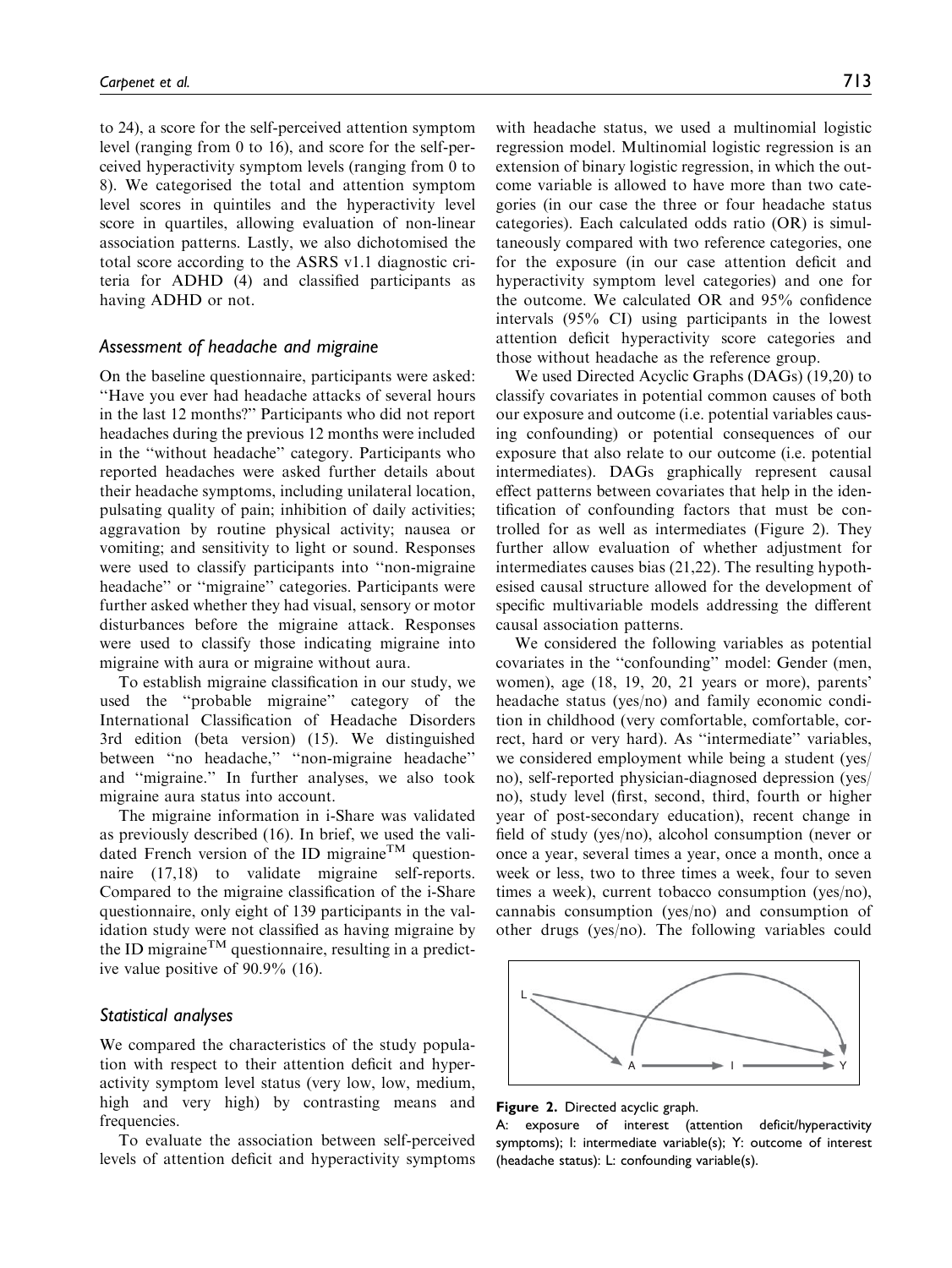to 24), a score for the self-perceived attention symptom level (ranging from 0 to 16), and score for the self-perceived hyperactivity symptom levels (ranging from 0 to 8). We categorised the total and attention symptom level scores in quintiles and the hyperactivity level score in quartiles, allowing evaluation of non-linear association patterns. Lastly, we also dichotomised the total score according to the ASRS v1.1 diagnostic criteria for ADHD (4) and classified participants as having ADHD or not.

#### Assessment of headache and migraine

On the baseline questionnaire, participants were asked: ''Have you ever had headache attacks of several hours in the last 12 months?'' Participants who did not report headaches during the previous 12 months were included in the ''without headache'' category. Participants who reported headaches were asked further details about their headache symptoms, including unilateral location, pulsating quality of pain; inhibition of daily activities; aggravation by routine physical activity; nausea or vomiting; and sensitivity to light or sound. Responses were used to classify participants into ''non-migraine headache" or "migraine" categories. Participants were further asked whether they had visual, sensory or motor disturbances before the migraine attack. Responses were used to classify those indicating migraine into migraine with aura or migraine without aura.

To establish migraine classification in our study, we used the ''probable migraine'' category of the International Classification of Headache Disorders 3rd edition (beta version) (15). We distinguished between ''no headache,'' ''non-migraine headache'' and ''migraine.'' In further analyses, we also took migraine aura status into account.

The migraine information in i-Share was validated as previously described (16). In brief, we used the validated French version of the ID migraine<sup>TM</sup> questionnaire (17,18) to validate migraine self-reports. Compared to the migraine classification of the i-Share questionnaire, only eight of 139 participants in the validation study were not classified as having migraine by the ID migraine<sup>TM</sup> questionnaire, resulting in a predictive value positive of 90.9% (16).

### Statistical analyses

We compared the characteristics of the study population with respect to their attention deficit and hyperactivity symptom level status (very low, low, medium, high and very high) by contrasting means and frequencies.

To evaluate the association between self-perceived levels of attention deficit and hyperactivity symptoms with headache status, we used a multinomial logistic regression model. Multinomial logistic regression is an extension of binary logistic regression, in which the outcome variable is allowed to have more than two categories (in our case the three or four headache status categories). Each calculated odds ratio (OR) is simultaneously compared with two reference categories, one for the exposure (in our case attention deficit and hyperactivity symptom level categories) and one for the outcome. We calculated OR and 95% confidence intervals (95% CI) using participants in the lowest attention deficit hyperactivity score categories and those without headache as the reference group.

We used Directed Acyclic Graphs (DAGs) (19,20) to classify covariates in potential common causes of both our exposure and outcome (i.e. potential variables causing confounding) or potential consequences of our exposure that also relate to our outcome (i.e. potential intermediates). DAGs graphically represent causal effect patterns between covariates that help in the identification of confounding factors that must be controlled for as well as intermediates (Figure 2). They further allow evaluation of whether adjustment for intermediates causes bias (21,22). The resulting hypothesised causal structure allowed for the development of specific multivariable models addressing the different causal association patterns.

We considered the following variables as potential covariates in the ''confounding'' model: Gender (men, women), age (18, 19, 20, 21 years or more), parents' headache status (yes/no) and family economic condition in childhood (very comfortable, comfortable, correct, hard or very hard). As ''intermediate'' variables, we considered employment while being a student (yes/ no), self-reported physician-diagnosed depression (yes/ no), study level (first, second, third, fourth or higher year of post-secondary education), recent change in field of study (yes/no), alcohol consumption (never or once a year, several times a year, once a month, once a week or less, two to three times a week, four to seven times a week), current tobacco consumption (yes/no), cannabis consumption (yes/no) and consumption of other drugs (yes/no). The following variables could



Figure 2. Directed acyclic graph.

A: exposure of interest (attention deficit/hyperactivity symptoms); I: intermediate variable(s); Y: outcome of interest (headache status): L: confounding variable(s).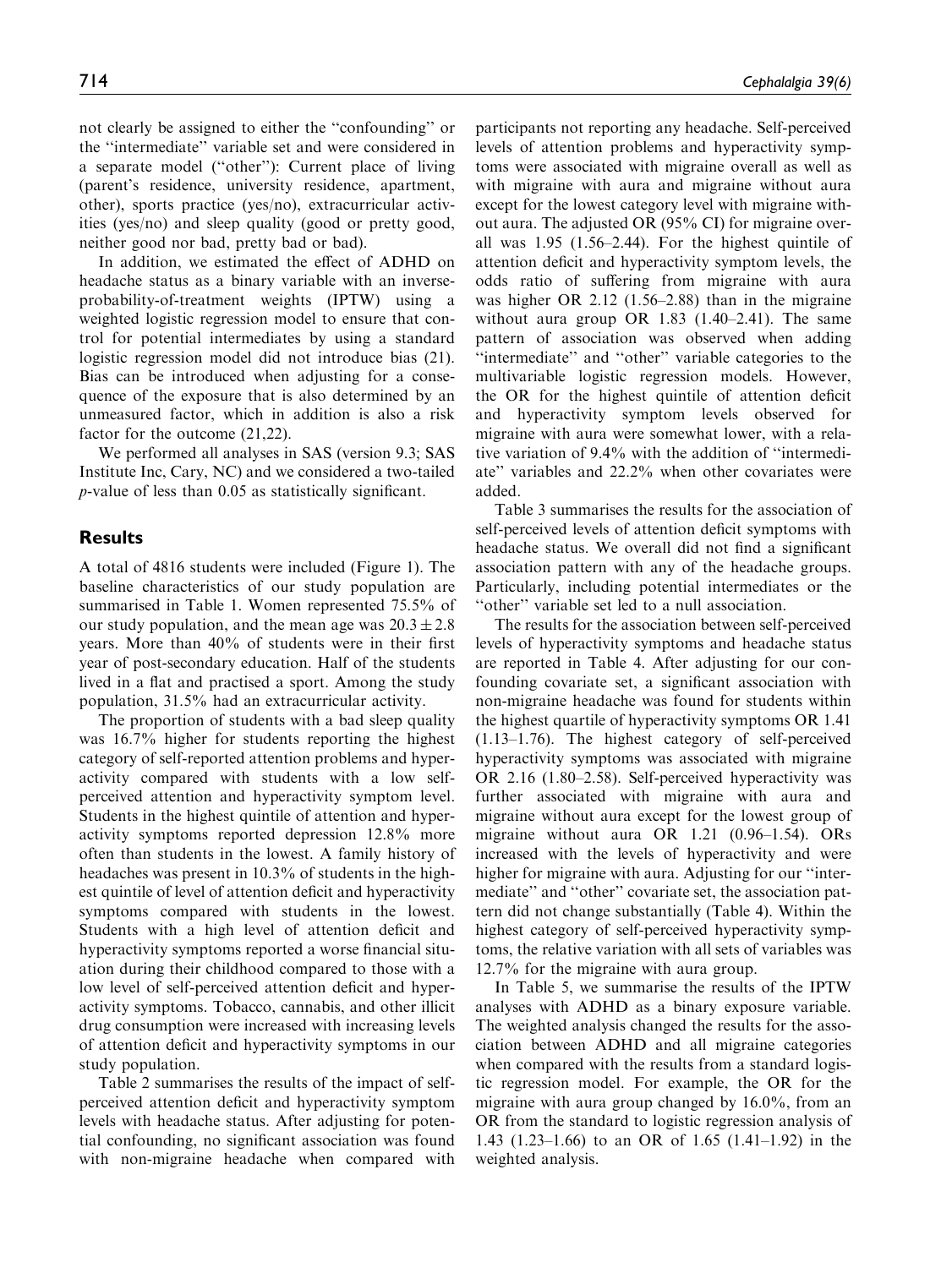not clearly be assigned to either the ''confounding'' or the ''intermediate'' variable set and were considered in a separate model (''other''): Current place of living (parent's residence, university residence, apartment, other), sports practice (yes/no), extracurricular activities (yes/no) and sleep quality (good or pretty good, neither good nor bad, pretty bad or bad).

In addition, we estimated the effect of ADHD on headache status as a binary variable with an inverseprobability-of-treatment weights (IPTW) using a weighted logistic regression model to ensure that control for potential intermediates by using a standard logistic regression model did not introduce bias (21). Bias can be introduced when adjusting for a consequence of the exposure that is also determined by an unmeasured factor, which in addition is also a risk factor for the outcome (21,22).

We performed all analyses in SAS (version 9.3; SAS Institute Inc, Cary, NC) and we considered a two-tailed p-value of less than 0.05 as statistically significant.

### **Results**

A total of 4816 students were included (Figure 1). The baseline characteristics of our study population are summarised in Table 1. Women represented 75.5% of our study population, and the mean age was  $20.3 \pm 2.8$ years. More than 40% of students were in their first year of post-secondary education. Half of the students lived in a flat and practised a sport. Among the study population, 31.5% had an extracurricular activity.

The proportion of students with a bad sleep quality was 16.7% higher for students reporting the highest category of self-reported attention problems and hyperactivity compared with students with a low selfperceived attention and hyperactivity symptom level. Students in the highest quintile of attention and hyperactivity symptoms reported depression 12.8% more often than students in the lowest. A family history of headaches was present in 10.3% of students in the highest quintile of level of attention deficit and hyperactivity symptoms compared with students in the lowest. Students with a high level of attention deficit and hyperactivity symptoms reported a worse financial situation during their childhood compared to those with a low level of self-perceived attention deficit and hyperactivity symptoms. Tobacco, cannabis, and other illicit drug consumption were increased with increasing levels of attention deficit and hyperactivity symptoms in our study population.

Table 2 summarises the results of the impact of selfperceived attention deficit and hyperactivity symptom levels with headache status. After adjusting for potential confounding, no significant association was found with non-migraine headache when compared with

participants not reporting any headache. Self-perceived levels of attention problems and hyperactivity symptoms were associated with migraine overall as well as with migraine with aura and migraine without aura except for the lowest category level with migraine without aura. The adjusted OR (95% CI) for migraine overall was 1.95 (1.56–2.44). For the highest quintile of attention deficit and hyperactivity symptom levels, the odds ratio of suffering from migraine with aura was higher OR 2.12 (1.56–2.88) than in the migraine without aura group OR 1.83 (1.40–2.41). The same pattern of association was observed when adding "intermediate" and "other" variable categories to the multivariable logistic regression models. However, the OR for the highest quintile of attention deficit and hyperactivity symptom levels observed for migraine with aura were somewhat lower, with a relative variation of 9.4% with the addition of ''intermediate'' variables and 22.2% when other covariates were added.

Table 3 summarises the results for the association of self-perceived levels of attention deficit symptoms with headache status. We overall did not find a significant association pattern with any of the headache groups. Particularly, including potential intermediates or the ''other'' variable set led to a null association.

The results for the association between self-perceived levels of hyperactivity symptoms and headache status are reported in Table 4. After adjusting for our confounding covariate set, a significant association with non-migraine headache was found for students within the highest quartile of hyperactivity symptoms OR 1.41 (1.13–1.76). The highest category of self-perceived hyperactivity symptoms was associated with migraine OR 2.16 (1.80–2.58). Self-perceived hyperactivity was further associated with migraine with aura and migraine without aura except for the lowest group of migraine without aura OR 1.21 (0.96–1.54). ORs increased with the levels of hyperactivity and were higher for migraine with aura. Adjusting for our ''intermediate'' and ''other'' covariate set, the association pattern did not change substantially (Table 4). Within the highest category of self-perceived hyperactivity symptoms, the relative variation with all sets of variables was 12.7% for the migraine with aura group.

In Table 5, we summarise the results of the IPTW analyses with ADHD as a binary exposure variable. The weighted analysis changed the results for the association between ADHD and all migraine categories when compared with the results from a standard logistic regression model. For example, the OR for the migraine with aura group changed by 16.0%, from an OR from the standard to logistic regression analysis of 1.43 (1.23–1.66) to an OR of 1.65 (1.41–1.92) in the weighted analysis.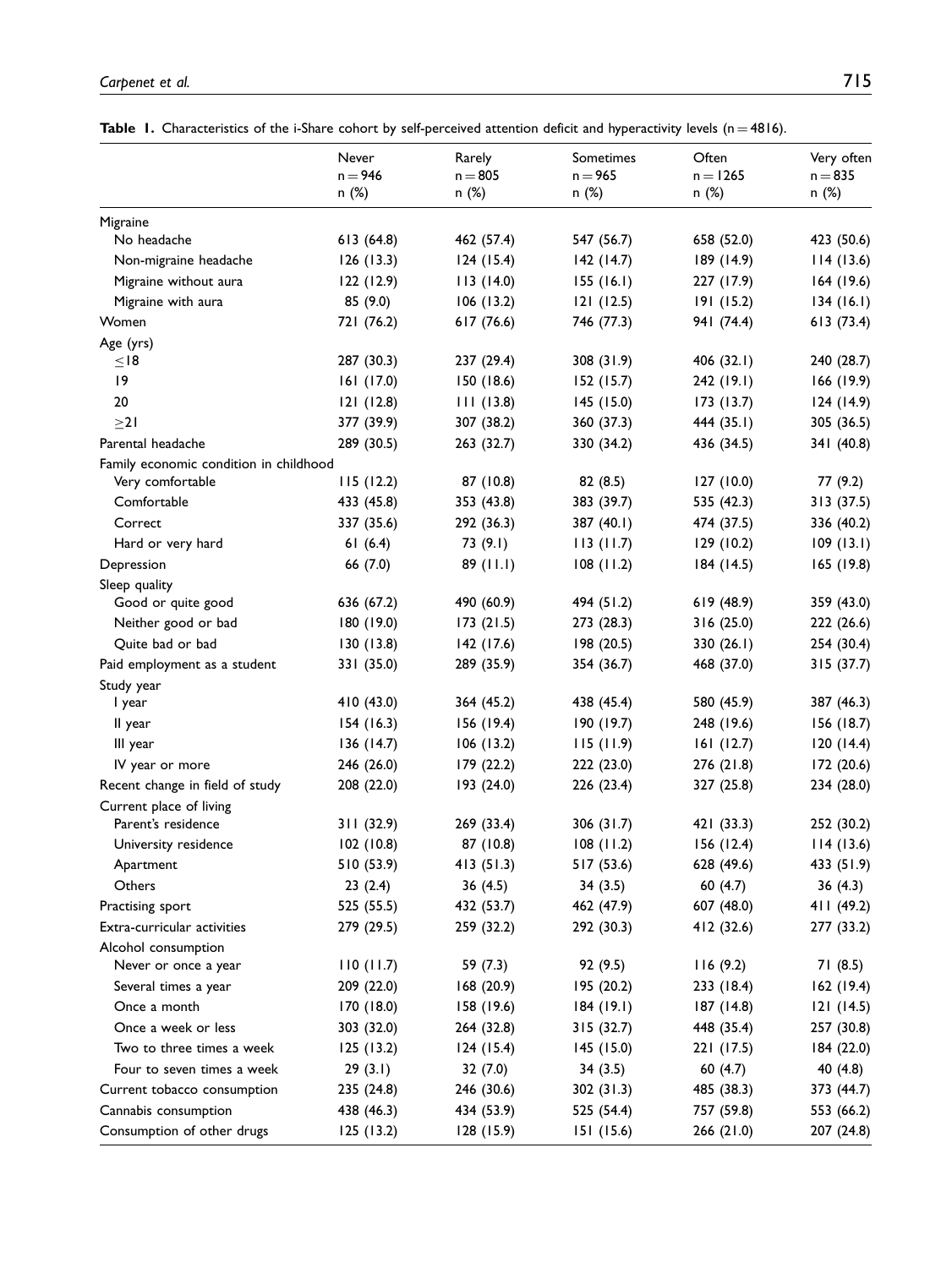Table 1. Characteristics of the i-Share cohort by self-perceived attention deficit and hyperactivity levels ( $n = 4816$ ).

|                                               | $n = 946$               | $1.44 \times 17$<br>$n = 805$ | ----------<br>$n = 965$ | $n = 1265$              | $\cdots$<br>$n = 835$   |
|-----------------------------------------------|-------------------------|-------------------------------|-------------------------|-------------------------|-------------------------|
|                                               | n (%)                   | n(%)                          | n (%)                   | n (%)                   | n(%)                    |
| Migraine                                      |                         |                               |                         |                         |                         |
| No headache                                   | 613(64.8)               | 462 (57.4)                    | 547 (56.7)              | 658 (52.0)              | 423 (50.6)              |
| Non-migraine headache                         | 126(13.3)               | 124(15.4)                     | 142(14.7)               | 189(14.9)               | 114(13.6)               |
| Migraine without aura                         | 122(12.9)               | 113(14.0)                     | 155(16.1)               | 227 (17.9)              | 164(19.6)               |
| Migraine with aura                            | 85 (9.0)                | 106(13.2)                     | 121(12.5)               | 191(15.2)               | 134(16.1)               |
| Women                                         | 721 (76.2)              | 617 (76.6)                    | 746 (77.3)              | 941 (74.4)              | 613 (73.4)              |
| Age (yrs)                                     |                         |                               |                         |                         |                         |
| $\leq$ 18                                     | 287 (30.3)              | 237 (29.4)                    | 308 (31.9)              | 406 (32.1)              | 240 (28.7)              |
| 9                                             | 161(17.0)               | 150(18.6)                     | 152(15.7)               | 242(19.1)               | 166 (19.9)              |
| 20                                            | 121(12.8)               | 111(13.8)                     | 145(15.0)               | 173(13.7)               | 124(14.9)               |
| $\geq$ 21                                     | 377 (39.9)              | 307 (38.2)                    | 360 (37.3)              | 444 (35.1)              | 305 (36.5)              |
| Parental headache                             | 289 (30.5)              | 263 (32.7)                    | 330 (34.2)              | 436 (34.5)              | 341 (40.8)              |
| Family economic condition in childhood        |                         |                               |                         |                         |                         |
| Very comfortable                              | 115(12.2)               | 87 (10.8)                     | 82(8.5)                 | 127(10.0)               | 77 (9.2)                |
| Comfortable                                   | 433 (45.8)              | 353 (43.8)                    | 383 (39.7)              | 535 (42.3)              | 313 (37.5)              |
| Correct                                       | 337 (35.6)              | 292 (36.3)                    | 387 (40.1)              | 474 (37.5)              | 336 (40.2)              |
| Hard or very hard                             | 61(6.4)                 | 73(9.1)                       | 113(11.7)               | 129(10.2)               | 109(13.1)               |
| Depression                                    | 66 (7.0)                | 89(11.1)                      | 108(11.2)               | 184(14.5)               | 165(19.8)               |
| Sleep quality                                 |                         |                               |                         |                         |                         |
| Good or quite good                            | 636 (67.2)              | 490 (60.9)                    | 494 (51.2)              | 619(48.9)               | 359 (43.0)              |
| Neither good or bad                           | 180 (19.0)              | 173(21.5)                     | 273 (28.3)              | 316(25.0)               | 222 (26.6)              |
| Quite bad or bad                              | 130(13.8)               | 142(17.6)                     | 198 (20.5)              | 330 $(26.1)$            | 254 (30.4)              |
| Paid employment as a student                  | 331 (35.0)              | 289 (35.9)                    | 354 (36.7)              | 468 (37.0)              | 315 (37.7)              |
| Study year                                    |                         |                               |                         |                         |                         |
| I year                                        | 410 (43.0)              | 364 (45.2)                    | 438 (45.4)              | 580 (45.9)              | 387 (46.3)              |
| II year                                       | 154(16.3)               | 156(19.4)                     | 190(19.7)               | 248 (19.6)              | 156 (18.7)              |
| III year                                      | 136(14.7)               | 106(13.2)                     | 115(11.9)               | 161(12.7)               | 120(14.4)               |
| IV year or more                               | 246 (26.0)              | 179 (22.2)                    | 222(23.0)               | 276 (21.8)              | 172 (20.6)              |
| Recent change in field of study               | 208 (22.0)              | 193 (24.0)                    | 226(23.4)               | 327 (25.8)              | 234 (28.0)              |
| Current place of living<br>Parent's residence |                         |                               |                         |                         |                         |
|                                               | 311 (32.9)<br>102(10.8) | 269 (33.4)<br>87 (10.8)       | 306 (31.7)<br>108(11.2) | 421 (33.3)<br>156(12.4) | 252 (30.2)              |
| University residence<br>Apartment             | 510 (53.9)              | 413(51.3)                     | 517(53.6)               | 628 (49.6)              | 114(13.6)<br>433 (51.9) |
| Others                                        | 23(2.4)                 | 36 (4.5)                      |                         |                         |                         |
| Practising sport                              | 525 (55.5)              | 432 (53.7)                    | 34(3.5)<br>462 (47.9)   | 60 (4.7)<br>607 (48.0)  | 36(4.3)<br>411 (49.2)   |
| Extra-curricular activities                   | 279 (29.5)              | 259 (32.2)                    | 292 (30.3)              | 412 (32.6)              | 277 (33.2)              |
| Alcohol consumption                           |                         |                               |                         |                         |                         |
| Never or once a year                          | 110(11.7)               | 59(7.3)                       | 92 (9.5)                | 116(9.2)                | 71 (8.5)                |
| Several times a year                          | 209 (22.0)              | 168 (20.9)                    | 195 (20.2)              | 233 (18.4)              | 162(19.4)               |
| Once a month                                  | 170 (18.0)              | 158 (19.6)                    | 184(19.1)               | 187 (14.8)              | 121(14.5)               |
| Once a week or less                           | 303 (32.0)              | 264 (32.8)                    | 315 (32.7)              | 448 (35.4)              | 257 (30.8)              |
| Two to three times a week                     | 125(13.2)               | 124(15.4)                     | 145 (15.0)              | 221 (17.5)              | 184 (22.0)              |
| Four to seven times a week                    | 29(3.1)                 | 32(7.0)                       | 34(3.5)                 | 60 $(4.7)$              | 40 (4.8)                |
| Current tobacco consumption                   | 235 (24.8)              | 246 (30.6)                    | 302 (31.3)              | 485 (38.3)              | 373 (44.7)              |
| Cannabis consumption                          | 438 (46.3)              | 434 (53.9)                    | 525 (54.4)              | 757 (59.8)              | 553 (66.2)              |
| Consumption of other drugs                    | 125(13.2)               | 128 (15.9)                    | 151 (15.6)              | 266 (21.0)              | 207 (24.8)              |
|                                               |                         |                               |                         |                         |                         |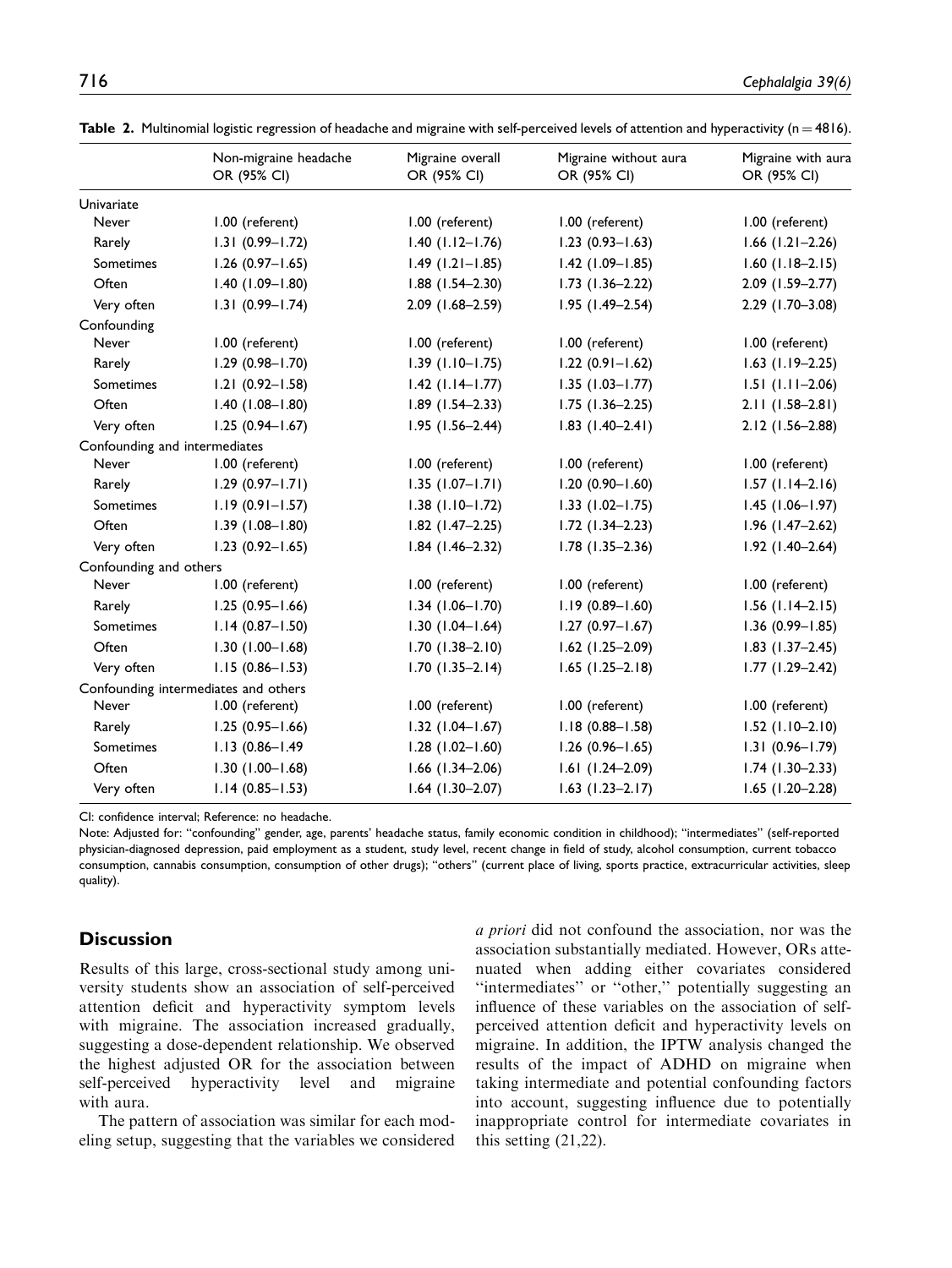|                               | Non-migraine headache<br>OR (95% CI) | Migraine overall<br>OR (95% CI) | Migraine without aura<br>OR (95% CI) | Migraine with aura<br>OR (95% CI) |
|-------------------------------|--------------------------------------|---------------------------------|--------------------------------------|-----------------------------------|
| Univariate                    |                                      |                                 |                                      |                                   |
| Never                         | 1.00 (referent)                      | 1.00 (referent)                 | 1.00 (referent)                      | 1.00 (referent)                   |
| Rarely                        | $1.31(0.99 - 1.72)$                  | $1.40$ ( $1.12 - 1.76$ )        | $1.23(0.93 - 1.63)$                  | $1.66$ (1.21-2.26)                |
| Sometimes                     | $1.26$ (0.97-1.65)                   | $1.49$ (1.21-1.85)              | $1.42$ (1.09-1.85)                   | $1.60$ (1.18-2.15)                |
| Often                         | $1.40(1.09 - 1.80)$                  | $1.88$ (1.54-2.30)              | $1.73$ (1.36-2.22)                   | 2.09 (1.59-2.77)                  |
| Very often                    | $1.31(0.99 - 1.74)$                  | 2.09 (1.68-2.59)                | $1.95$ (1.49-2.54)                   | $2.29$ (1.70-3.08)                |
| Confounding                   |                                      |                                 |                                      |                                   |
| Never                         | 1.00 (referent)                      | 1.00 (referent)                 | 1.00 (referent)                      | 1.00 (referent)                   |
| Rarely                        | $1.29(0.98 - 1.70)$                  | $1.39$ (1.10-1.75)              | $1.22$ (0.91-1.62)                   | $1.63$ (1.19-2.25)                |
| Sometimes                     | $1.21(0.92 - 1.58)$                  | $1.42$ (1.14-1.77)              | $1.35$ (1.03-1.77)                   | $1.51$ ( $1.11-2.06$ )            |
| Often                         | $1.40(1.08 - 1.80)$                  | $1.89$ (1.54-2.33)              | $1.75$ (1.36-2.25)                   | $2.11(1.58-2.81)$                 |
| Very often                    | $1.25(0.94 - 1.67)$                  | $1.95$ (1.56-2.44)              | $1.83$ (1.40-2.41)                   | 2.12 (1.56-2.88)                  |
| Confounding and intermediates |                                      |                                 |                                      |                                   |
| Never                         | 1.00 (referent)                      | 1.00 (referent)                 | 1.00 (referent)                      | 1.00 (referent)                   |
| Rarely                        | $1.29(0.97 - 1.71)$                  | $1.35$ (1.07-1.71)              | $1.20(0.90 - 1.60)$                  | $1.57$ (1.14-2.16)                |
| Sometimes                     | $1.19(0.91 - 1.57)$                  | $1.38$ (1.10-1.72)              | $1.33$ $(1.02 - 1.75)$               | $1.45$ (1.06-1.97)                |
| Often                         | $1.39(1.08 - 1.80)$                  | $1.82$ (1.47-2.25)              | $1.72$ (1.34-2.23)                   | $1.96$ (1.47-2.62)                |
| Very often                    | $1.23(0.92 - 1.65)$                  | $1.84$ (1.46-2.32)              | $1.78$ (1.35-2.36)                   | $1.92$ (1.40-2.64)                |
| Confounding and others        |                                      |                                 |                                      |                                   |
| Never                         | 1.00 (referent)                      | 1.00 (referent)                 | 1.00 (referent)                      | 1.00 (referent)                   |
| Rarely                        | $1.25(0.95 - 1.66)$                  | $1.34$ (1.06-1.70)              | $1.19(0.89 - 1.60)$                  | $1.56$ (1.14-2.15)                |
| Sometimes                     | $1.14(0.87 - 1.50)$                  | $1.30(1.04 - 1.64)$             | $1.27(0.97 - 1.67)$                  | $1.36(0.99 - 1.85)$               |
| Often                         | $1.30(1.00 - 1.68)$                  | $1.70(1.38 - 2.10)$             | $1.62$ (1.25-2.09)                   | $1.83$ (1.37-2.45)                |
| Very often                    | $1.15(0.86 - 1.53)$                  | $1.70$ $(1.35 - 2.14)$          | $1.65$ (1.25-2.18)                   | $1.77$ $(1.29 - 2.42)$            |
|                               | Confounding intermediates and others |                                 |                                      |                                   |
| Never                         | 1.00 (referent)                      | 1.00 (referent)                 | 1.00 (referent)                      | 1.00 (referent)                   |
| Rarely                        | $1.25(0.95 - 1.66)$                  | $1.32$ (1.04-1.67)              | $1.18(0.88 - 1.58)$                  | $1.52$ (1.10-2.10)                |
| Sometimes                     | $1.13(0.86 - 1.49)$                  | $1.28$ (1.02-1.60)              | $1.26(0.96 - 1.65)$                  | $1.31(0.96 - 1.79)$               |
| Often                         | $1.30(1.00 - 1.68)$                  | $1.66$ (1.34-2.06)              | $1.61(1.24 - 2.09)$                  | $1.74$ (1.30-2.33)                |
| Very often                    | $1.14(0.85 - 1.53)$                  | $1.64$ (1.30-2.07)              | $1.63$ (1.23-2.17)                   | $1.65$ (1.20-2.28)                |

Table 2. Multinomial logistic regression of headache and migraine with self-perceived levels of attention and hyperactivity ( $n = 4816$ ).

CI: confidence interval; Reference: no headache.

Note: Adjusted for: ''confounding'' gender, age, parents' headache status, family economic condition in childhood); ''intermediates'' (self-reported physician-diagnosed depression, paid employment as a student, study level, recent change in field of study, alcohol consumption, current tobacco consumption, cannabis consumption, consumption of other drugs); ''others'' (current place of living, sports practice, extracurricular activities, sleep quality).

# **Discussion**

Results of this large, cross-sectional study among university students show an association of self-perceived attention deficit and hyperactivity symptom levels with migraine. The association increased gradually, suggesting a dose-dependent relationship. We observed the highest adjusted OR for the association between self-perceived hyperactivity level and migraine with aura.

The pattern of association was similar for each modeling setup, suggesting that the variables we considered

a priori did not confound the association, nor was the association substantially mediated. However, ORs attenuated when adding either covariates considered "intermediates" or "other," potentially suggesting an influence of these variables on the association of selfperceived attention deficit and hyperactivity levels on migraine. In addition, the IPTW analysis changed the results of the impact of ADHD on migraine when taking intermediate and potential confounding factors into account, suggesting influence due to potentially inappropriate control for intermediate covariates in this setting (21,22).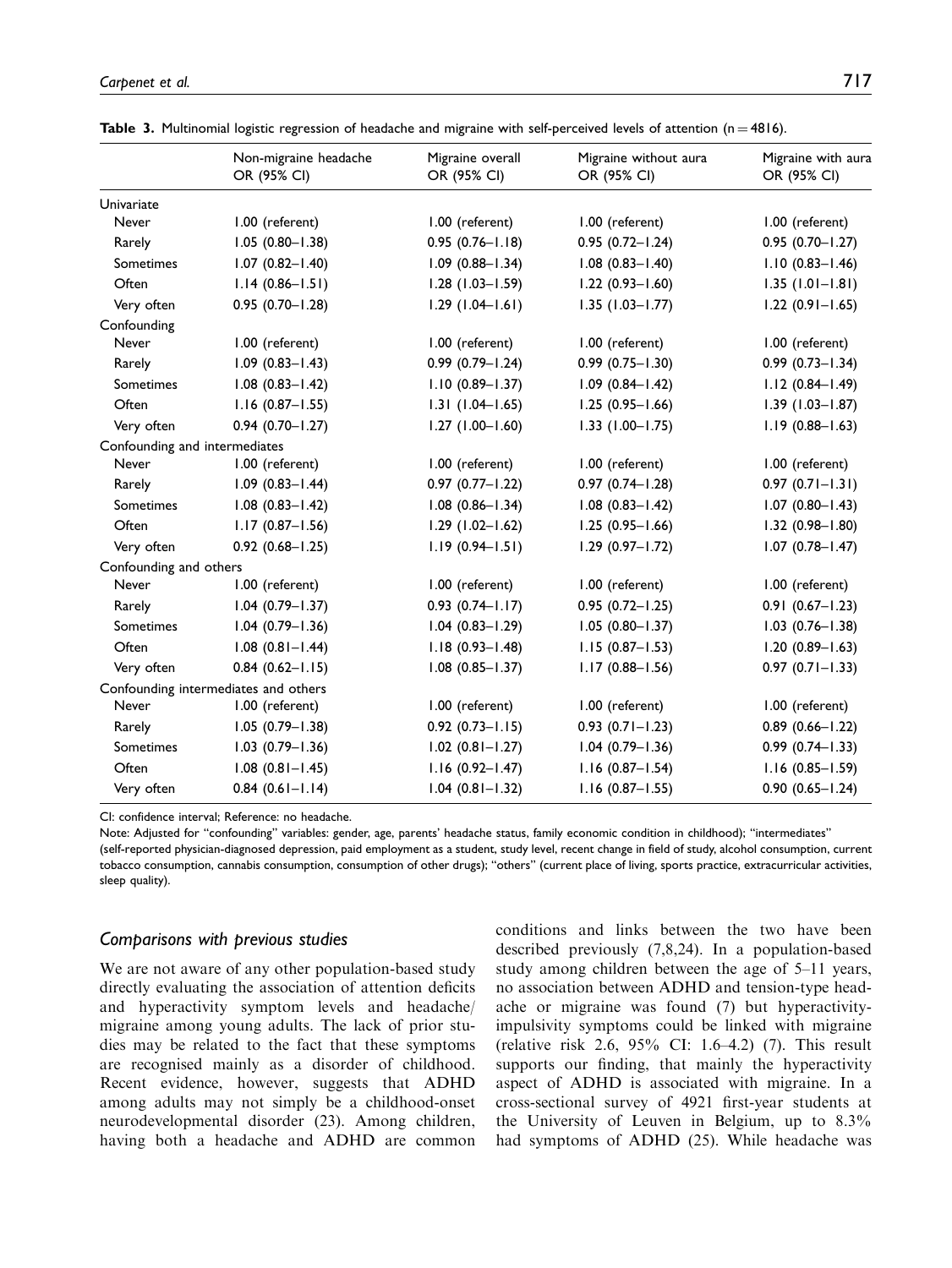|                               | Non-migraine headache<br>OR (95% CI) | Migraine overall<br>OR (95% CI) | Migraine without aura<br>OR (95% CI) | Migraine with aura<br>OR (95% CI) |
|-------------------------------|--------------------------------------|---------------------------------|--------------------------------------|-----------------------------------|
| Univariate                    |                                      |                                 |                                      |                                   |
| Never                         | 1.00 (referent)                      | 1.00 (referent)                 | 1.00 (referent)                      | 1.00 (referent)                   |
| Rarely                        | $1.05(0.80 - 1.38)$                  | $0.95(0.76 - 1.18)$             | $0.95(0.72 - 1.24)$                  | $0.95(0.70 - 1.27)$               |
| Sometimes                     | $1.07$ $(0.82 - 1.40)$               | $1.09$ (0.88-1.34)              | $1.08$ $(0.83 - 1.40)$               | $1.10(0.83 - 1.46)$               |
| Often                         | $1.14(0.86 - 1.51)$                  | $1.28$ (1.03-1.59)              | $1.22(0.93 - 1.60)$                  | $1.35(1.01 - 1.81)$               |
| Very often                    | $0.95(0.70 - 1.28)$                  | $1.29$ (1.04-1.61)              | $1.35$ (1.03-1.77)                   | $1.22(0.91 - 1.65)$               |
| Confounding                   |                                      |                                 |                                      |                                   |
| Never                         | 1.00 (referent)                      | 1.00 (referent)                 | 1.00 (referent)                      | 1.00 (referent)                   |
| Rarely                        | $1.09$ (0.83-1.43)                   | $0.99$ $(0.79 - 1.24)$          | $0.99$ $(0.75 - 1.30)$               | $0.99$ $(0.73 - 1.34)$            |
| Sometimes                     | $1.08$ $(0.83 - 1.42)$               | $1.10(0.89 - 1.37)$             | $1.09$ $(0.84 - 1.42)$               | $1.12(0.84 - 1.49)$               |
| Often                         | $1.16(0.87 - 1.55)$                  | $1.31(1.04-1.65)$               | $1.25(0.95 - 1.66)$                  | $1.39(1.03 - 1.87)$               |
| Very often                    | $0.94(0.70 - 1.27)$                  | $1.27(1.00 - 1.60)$             | $1.33$ (1.00-1.75)                   | $1.19(0.88 - 1.63)$               |
| Confounding and intermediates |                                      |                                 |                                      |                                   |
| Never                         | 1.00 (referent)                      | 1.00 (referent)                 | 1.00 (referent)                      | 1.00 (referent)                   |
| Rarely                        | $1.09$ (0.83-1.44)                   | $0.97$ $(0.77 - 1.22)$          | $0.97(0.74 - 1.28)$                  | $0.97(0.71 - 1.31)$               |
| Sometimes                     | $1.08$ $(0.83 - 1.42)$               | $1.08$ $(0.86 - 1.34)$          | $1.08$ $(0.83 - 1.42)$               | $1.07$ (0.80-1.43)                |
| Often                         | $1.17(0.87 - 1.56)$                  | $1.29$ (1.02-1.62)              | $1.25(0.95 - 1.66)$                  | $1.32(0.98 - 1.80)$               |
| Very often                    | $0.92$ $(0.68 - 1.25)$               | $1.19(0.94 - 1.51)$             | $1.29$ (0.97-1.72)                   | $1.07$ (0.78-1.47)                |
| Confounding and others        |                                      |                                 |                                      |                                   |
| Never                         | 1.00 (referent)                      | 1.00 (referent)                 | 1.00 (referent)                      | 1.00 (referent)                   |
| Rarely                        | $1.04$ (0.79-1.37)                   | $0.93(0.74 - 1.17)$             | $0.95(0.72 - 1.25)$                  | $0.91(0.67 - 1.23)$               |
| Sometimes                     | $1.04$ (0.79-1.36)                   | $1.04$ (0.83-1.29)              | $1.05(0.80 - 1.37)$                  | $1.03$ (0.76-1.38)                |
| Often                         | $1.08$ $(0.81 - 1.44)$               | $1.18(0.93 - 1.48)$             | $1.15(0.87 - 1.53)$                  | $1.20(0.89 - 1.63)$               |
| Very often                    | $0.84$ (0.62-1.15)                   | $1.08$ (0.85-1.37)              | $1.17(0.88 - 1.56)$                  | $0.97(0.71 - 1.33)$               |
|                               | Confounding intermediates and others |                                 |                                      |                                   |
| Never                         | 1.00 (referent)                      | 1.00 (referent)                 | 1.00 (referent)                      | 1.00 (referent)                   |
| Rarely                        | $1.05(0.79 - 1.38)$                  | $0.92$ $(0.73 - 1.15)$          | $0.93$ $(0.71 - 1.23)$               | $0.89$ (0.66-1.22)                |
| Sometimes                     | $1.03$ (0.79-1.36)                   | $1.02$ (0.81-1.27)              | $1.04$ $(0.79 - 1.36)$               | $0.99(0.74 - 1.33)$               |
| Often                         | $1.08$ (0.81-1.45)                   | $1.16(0.92 - 1.47)$             | $1.16$ (0.87-1.54)                   | $1.16(0.85 - 1.59)$               |
| Very often                    | $0.84$ $(0.61 - 1.14)$               | $1.04 (0.81 - 1.32)$            | $1.16$ (0.87-1.55)                   | $0.90(0.65 - 1.24)$               |

Table 3. Multinomial logistic regression of headache and migraine with self-perceived levels of attention ( $n = 4816$ ).

CI: confidence interval; Reference: no headache.

Note: Adjusted for ''confounding'' variables: gender, age, parents' headache status, family economic condition in childhood); ''intermediates'' (self-reported physician-diagnosed depression, paid employment as a student, study level, recent change in field of study, alcohol consumption, current tobacco consumption, cannabis consumption, consumption of other drugs); ''others'' (current place of living, sports practice, extracurricular activities, sleep quality).

#### Comparisons with previous studies

We are not aware of any other population-based study directly evaluating the association of attention deficits and hyperactivity symptom levels and headache/ migraine among young adults. The lack of prior studies may be related to the fact that these symptoms are recognised mainly as a disorder of childhood. Recent evidence, however, suggests that ADHD among adults may not simply be a childhood-onset neurodevelopmental disorder (23). Among children, having both a headache and ADHD are common conditions and links between the two have been described previously (7,8,24). In a population-based study among children between the age of 5–11 years, no association between ADHD and tension-type headache or migraine was found (7) but hyperactivityimpulsivity symptoms could be linked with migraine (relative risk 2.6, 95% CI: 1.6–4.2) (7). This result supports our finding, that mainly the hyperactivity aspect of ADHD is associated with migraine. In a cross-sectional survey of 4921 first-year students at the University of Leuven in Belgium, up to 8.3% had symptoms of ADHD (25). While headache was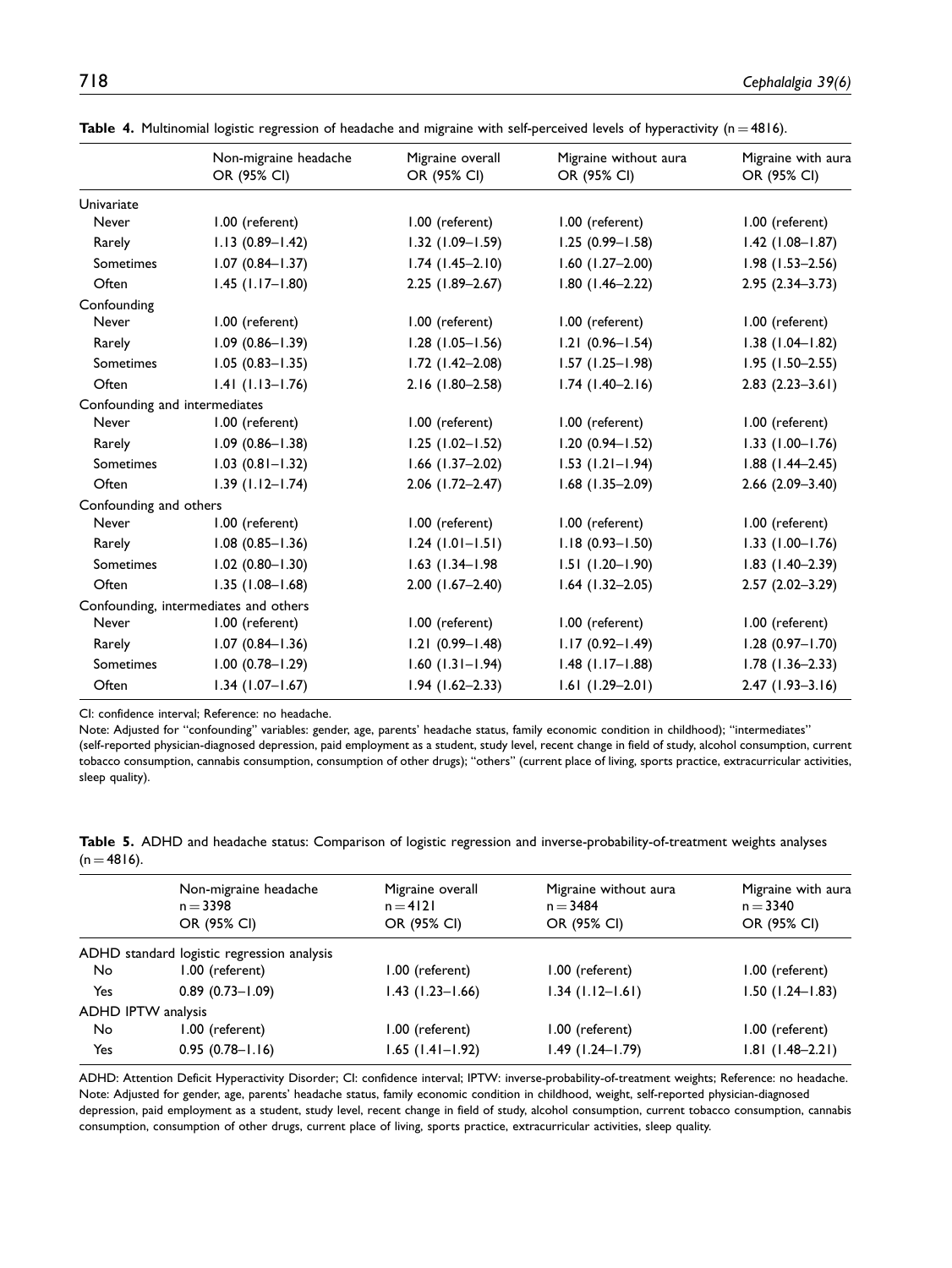|                               | Non-migraine headache<br>OR (95% CI)  | Migraine overall<br>OR (95% CI) | Migraine without aura<br>OR (95% CI) | Migraine with aura<br>OR (95% CI) |
|-------------------------------|---------------------------------------|---------------------------------|--------------------------------------|-----------------------------------|
| Univariate                    |                                       |                                 |                                      |                                   |
| Never                         | 1.00 (referent)                       | 1.00 (referent)                 | 1.00 (referent)                      | 1.00 (referent)                   |
| Rarely                        | $1.13(0.89 - 1.42)$                   | $1.32$ (1.09-1.59)              | $1.25(0.99 - 1.58)$                  | $1.42$ (1.08-1.87)                |
| Sometimes                     | $1.07(0.84 - 1.37)$                   | $1.74$ $(1.45 - 2.10)$          | $1.60$ (1.27-2.00)                   | $1.98(1.53 - 2.56)$               |
| Often                         | $1.45$ (1.17-1.80)                    | $2.25$ (1.89-2.67)              | $1.80$ (1.46-2.22)                   | $2.95(2.34 - 3.73)$               |
| Confounding                   |                                       |                                 |                                      |                                   |
| Never                         | 1.00 (referent)                       | 1.00 (referent)                 | 1.00 (referent)                      | 1.00 (referent)                   |
| Rarely                        | $1.09$ (0.86-1.39)                    | $1.28$ (1.05-1.56)              | $1.21 (0.96 - 1.54)$                 | $1.38$ (1.04-1.82)                |
| Sometimes                     | $1.05(0.83 - 1.35)$                   | $1.72$ (1.42-2.08)              | $1.57$ (1.25-1.98)                   | $1.95(1.50 - 2.55)$               |
| Often                         | $1.41$ (1.13-1.76)                    | 2.16 (1.80-2.58)                | $1.74$ (1.40-2.16)                   | $2.83(2.23 - 3.61)$               |
| Confounding and intermediates |                                       |                                 |                                      |                                   |
| Never                         | 1.00 (referent)                       | 1.00 (referent)                 | 1.00 (referent)                      | 1.00 (referent)                   |
| Rarely                        | $1.09(0.86 - 1.38)$                   | $1.25$ (1.02-1.52)              | $1.20(0.94 - 1.52)$                  | $1.33$ (1.00-1.76)                |
| Sometimes                     | $1.03$ (0.81-1.32)                    | $1.66$ (1.37-2.02)              | $1.53$ ( $1.21 - 1.94$ )             | $1.88$ (1.44-2.45)                |
| Often                         | $1.39$ (1.12-1.74)                    | $2.06$ (1.72-2.47)              | $1.68$ (1.35-2.09)                   | $2.66$ $(2.09-3.40)$              |
| Confounding and others        |                                       |                                 |                                      |                                   |
| Never                         | 1.00 (referent)                       | 1.00 (referent)                 | 1.00 (referent)                      | 1.00 (referent)                   |
| Rarely                        | $1.08$ $(0.85 - 1.36)$                | $1.24$ (1.01-1.51)              | $1.18(0.93 - 1.50)$                  | $1.33$ (1.00-1.76)                |
| Sometimes                     | $1.02$ (0.80-1.30)                    | $1.63$ (1.34-1.98)              | $1.51(1.20 - 1.90)$                  | $1.83$ (1.40-2.39)                |
| Often                         | $1.35(1.08 - 1.68)$                   | $2.00$ (1.67-2.40)              | $1.64$ (1.32-2.05)                   | $2.57(2.02 - 3.29)$               |
|                               | Confounding, intermediates and others |                                 |                                      |                                   |
| Never                         | 1.00 (referent)                       | 1.00 (referent)                 | 1.00 (referent)                      | 1.00 (referent)                   |
| Rarely                        | $1.07(0.84 - 1.36)$                   | $1.21(0.99 - 1.48)$             | $1.17(0.92 - 1.49)$                  | $1.28(0.97 - 1.70)$               |
| Sometimes                     | $1.00$ (0.78-1.29)                    | $1.60$ ( $1.31 - 1.94$ )        | $1.48$ (1.17-1.88)                   | $1.78$ (1.36-2.33)                |
| Often                         | $1.34$ (1.07-1.67)                    | $1.94$ (1.62-2.33)              | $1.61(1.29 - 2.01)$                  | $2.47(1.93-3.16)$                 |

Table 4. Multinomial logistic regression of headache and migraine with self-perceived levels of hyperactivity ( $n = 4816$ ).

CI: confidence interval; Reference: no headache.

Note: Adjusted for ''confounding'' variables: gender, age, parents' headache status, family economic condition in childhood); ''intermediates''

(self-reported physician-diagnosed depression, paid employment as a student, study level, recent change in field of study, alcohol consumption, current tobacco consumption, cannabis consumption, consumption of other drugs); ''others'' (current place of living, sports practice, extracurricular activities, sleep quality).

Table 5. ADHD and headache status: Comparison of logistic regression and inverse-probability-of-treatment weights analyses  $(n = 4816)$ .

|                    | Non-migraine headache<br>$n = 3398$<br>OR (95% CI) | Migraine overall<br>$n = 4121$<br>OR (95% CI) | Migraine without aura<br>$n = 3484$<br>OR (95% CI) | Migraine with aura<br>$n = 3340$<br>OR (95% CI) |
|--------------------|----------------------------------------------------|-----------------------------------------------|----------------------------------------------------|-------------------------------------------------|
|                    | ADHD standard logistic regression analysis         |                                               |                                                    |                                                 |
| <b>No</b>          | 1.00 (referent)                                    | 1.00 (referent)                               | 1.00 (referent)                                    | 1.00 (referent)                                 |
| Yes                | $0.89(0.73 - 1.09)$                                | $1.43$ (1.23–1.66)                            | $1.34$ (1.12–1.61)                                 | $1.50$ (1.24–1.83)                              |
| ADHD IPTW analysis |                                                    |                                               |                                                    |                                                 |
| <b>No</b>          | 1.00 (referent)                                    | 1.00 (referent)                               | 1.00 (referent)                                    | 1.00 (referent)                                 |
| Yes                | $0.95(0.78 - 1.16)$                                | $1.65$ (1.41-1.92)                            | $1.49(1.24 - 1.79)$                                | $1.81(1.48-2.21)$                               |

ADHD: Attention Deficit Hyperactivity Disorder; CI: confidence interval; IPTW: inverse-probability-of-treatment weights; Reference: no headache. Note: Adjusted for gender, age, parents' headache status, family economic condition in childhood, weight, self-reported physician-diagnosed depression, paid employment as a student, study level, recent change in field of study, alcohol consumption, current tobacco consumption, cannabis consumption, consumption of other drugs, current place of living, sports practice, extracurricular activities, sleep quality.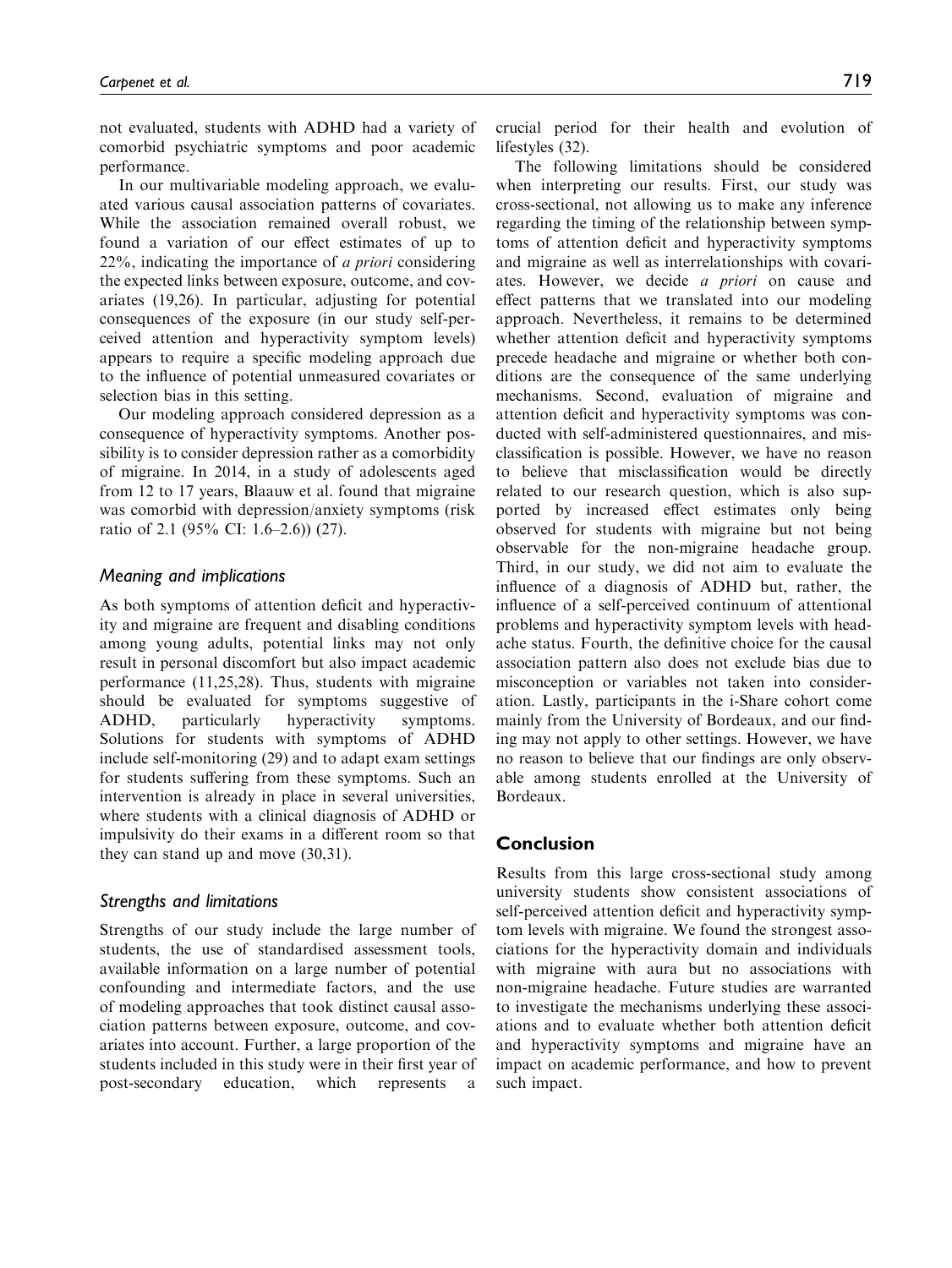not evaluated, students with ADHD had a variety of comorbid psychiatric symptoms and poor academic performance.

In our multivariable modeling approach, we evaluated various causal association patterns of covariates. While the association remained overall robust, we found a variation of our effect estimates of up to 22%, indicating the importance of a priori considering the expected links between exposure, outcome, and covariates (19,26). In particular, adjusting for potential consequences of the exposure (in our study self-perceived attention and hyperactivity symptom levels) appears to require a specific modeling approach due to the influence of potential unmeasured covariates or selection bias in this setting.

Our modeling approach considered depression as a consequence of hyperactivity symptoms. Another possibility is to consider depression rather as a comorbidity of migraine. In 2014, in a study of adolescents aged from 12 to 17 years, Blaauw et al. found that migraine was comorbid with depression/anxiety symptoms (risk ratio of 2.1 (95% CI: 1.6–2.6)) (27).

### Meaning and implications

As both symptoms of attention deficit and hyperactivity and migraine are frequent and disabling conditions among young adults, potential links may not only result in personal discomfort but also impact academic performance (11,25,28). Thus, students with migraine should be evaluated for symptoms suggestive of ADHD, particularly hyperactivity symptoms. Solutions for students with symptoms of ADHD include self-monitoring (29) and to adapt exam settings for students suffering from these symptoms. Such an intervention is already in place in several universities, where students with a clinical diagnosis of ADHD or impulsivity do their exams in a different room so that they can stand up and move (30,31).

### Strengths and limitations

Strengths of our study include the large number of students, the use of standardised assessment tools, available information on a large number of potential confounding and intermediate factors, and the use of modeling approaches that took distinct causal association patterns between exposure, outcome, and covariates into account. Further, a large proportion of the students included in this study were in their first year of post-secondary education, which represents a crucial period for their health and evolution of lifestyles (32).

The following limitations should be considered when interpreting our results. First, our study was cross-sectional, not allowing us to make any inference regarding the timing of the relationship between symptoms of attention deficit and hyperactivity symptoms and migraine as well as interrelationships with covariates. However, we decide a priori on cause and effect patterns that we translated into our modeling approach. Nevertheless, it remains to be determined whether attention deficit and hyperactivity symptoms precede headache and migraine or whether both conditions are the consequence of the same underlying mechanisms. Second, evaluation of migraine and attention deficit and hyperactivity symptoms was conducted with self-administered questionnaires, and misclassification is possible. However, we have no reason to believe that misclassification would be directly related to our research question, which is also supported by increased effect estimates only being observed for students with migraine but not being observable for the non-migraine headache group. Third, in our study, we did not aim to evaluate the influence of a diagnosis of ADHD but, rather, the influence of a self-perceived continuum of attentional problems and hyperactivity symptom levels with headache status. Fourth, the definitive choice for the causal association pattern also does not exclude bias due to misconception or variables not taken into consideration. Lastly, participants in the i-Share cohort come mainly from the University of Bordeaux, and our finding may not apply to other settings. However, we have no reason to believe that our findings are only observable among students enrolled at the University of Bordeaux.

### Conclusion

Results from this large cross-sectional study among university students show consistent associations of self-perceived attention deficit and hyperactivity symptom levels with migraine. We found the strongest associations for the hyperactivity domain and individuals with migraine with aura but no associations with non-migraine headache. Future studies are warranted to investigate the mechanisms underlying these associations and to evaluate whether both attention deficit and hyperactivity symptoms and migraine have an impact on academic performance, and how to prevent such impact.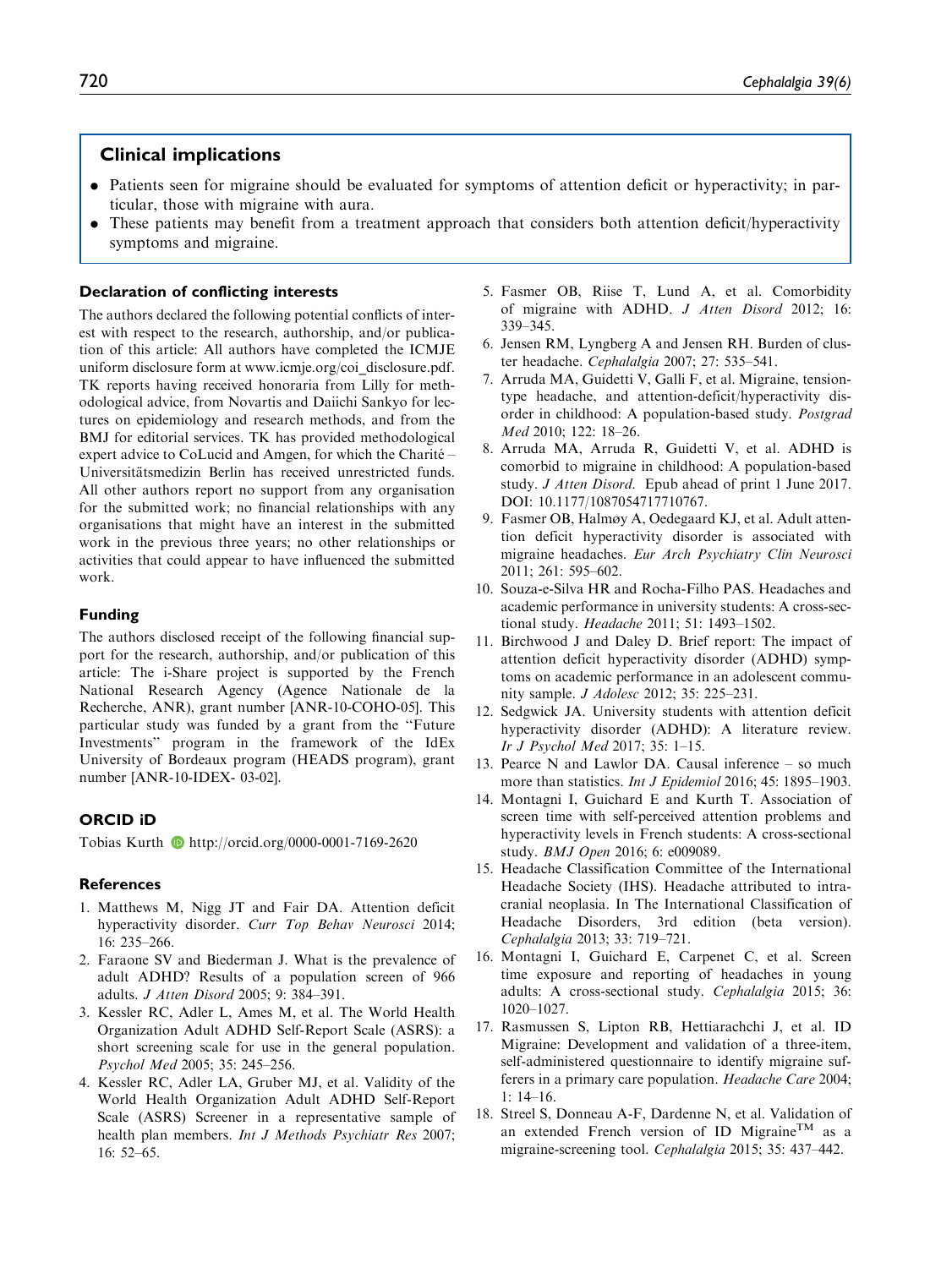## Clinical implications

- . Patients seen for migraine should be evaluated for symptoms of attention deficit or hyperactivity; in particular, those with migraine with aura.
- . These patients may benefit from a treatment approach that considers both attention deficit/hyperactivity symptoms and migraine.

### Declaration of conflicting interests

The authors declared the following potential conflicts of interest with respect to the research, authorship, and/or publication of this article: All authors have completed the ICMJE uniform disclosure form at [www.icmje.org/coi\\_disclosure.pdf](www.icmje.org/coi_disclosure.pdf). TK reports having received honoraria from Lilly for methodological advice, from Novartis and Daiichi Sankyo for lectures on epidemiology and research methods, and from the BMJ for editorial services. TK has provided methodological expert advice to CoLucid and Amgen, for which the Charité – Universitätsmedizin Berlin has received unrestricted funds. All other authors report no support from any organisation for the submitted work; no financial relationships with any organisations that might have an interest in the submitted work in the previous three years; no other relationships or activities that could appear to have influenced the submitted work.

### Funding

The authors disclosed receipt of the following financial support for the research, authorship, and/or publication of this article: The i-Share project is supported by the French National Research Agency (Agence Nationale de la Recherche, ANR), grant number [ANR-10-COHO-05]. This particular study was funded by a grant from the ''Future Investments'' program in the framework of the IdEx University of Bordeaux program (HEADS program), grant number [ANR-10-IDEX- 03-02].

### ORCID iD

Tobias Kurth D<http://orcid.org/0000-0001-7169-2620>

### **References**

- 1. Matthews M, Nigg JT and Fair DA. Attention deficit hyperactivity disorder. Curr Top Behav Neurosci 2014; 16: 235–266.
- 2. Faraone SV and Biederman J. What is the prevalence of adult ADHD? Results of a population screen of 966 adults. J Atten Disord 2005; 9: 384–391.
- 3. Kessler RC, Adler L, Ames M, et al. The World Health Organization Adult ADHD Self-Report Scale (ASRS): a short screening scale for use in the general population. Psychol Med 2005; 35: 245–256.
- 4. Kessler RC, Adler LA, Gruber MJ, et al. Validity of the World Health Organization Adult ADHD Self-Report Scale (ASRS) Screener in a representative sample of health plan members. Int J Methods Psychiatr Res 2007; 16: 52–65.
- 5. Fasmer OB, Riise T, Lund A, et al. Comorbidity of migraine with ADHD. J Atten Disord 2012; 16: 339–345.
- 6. Jensen RM, Lyngberg A and Jensen RH. Burden of cluster headache. Cephalalgia 2007; 27: 535–541.
- 7. Arruda MA, Guidetti V, Galli F, et al. Migraine, tensiontype headache, and attention-deficit/hyperactivity disorder in childhood: A population-based study. Postgrad Med 2010; 122: 18–26.
- 8. Arruda MA, Arruda R, Guidetti V, et al. ADHD is comorbid to migraine in childhood: A population-based study. J Atten Disord. Epub ahead of print 1 June 2017. DOI: 10.1177/1087054717710767.
- 9. Fasmer OB, Halmøy A, Oedegaard KJ, et al. Adult attention deficit hyperactivity disorder is associated with migraine headaches. Eur Arch Psychiatry Clin Neurosci 2011; 261: 595–602.
- 10. Souza-e-Silva HR and Rocha-Filho PAS. Headaches and academic performance in university students: A cross-sectional study. Headache 2011; 51: 1493–1502.
- 11. Birchwood J and Daley D. Brief report: The impact of attention deficit hyperactivity disorder (ADHD) symptoms on academic performance in an adolescent community sample. J Adolesc 2012; 35: 225–231.
- 12. Sedgwick JA. University students with attention deficit hyperactivity disorder (ADHD): A literature review. Ir J Psychol Med 2017; 35: 1–15.
- 13. Pearce N and Lawlor DA. Causal inference so much more than statistics. *Int J Epidemiol* 2016; 45: 1895–1903.
- 14. Montagni I, Guichard E and Kurth T. Association of screen time with self-perceived attention problems and hyperactivity levels in French students: A cross-sectional study. BMJ Open 2016; 6: e009089.
- 15. Headache Classification Committee of the International Headache Society (IHS). Headache attributed to intracranial neoplasia. In The International Classification of Headache Disorders, 3rd edition (beta version). Cephalalgia 2013; 33: 719–721.
- 16. Montagni I, Guichard E, Carpenet C, et al. Screen time exposure and reporting of headaches in young adults: A cross-sectional study. Cephalalgia 2015; 36: 1020–1027.
- 17. Rasmussen S, Lipton RB, Hettiarachchi J, et al. ID Migraine: Development and validation of a three-item, self-administered questionnaire to identify migraine sufferers in a primary care population. Headache Care 2004; 1: 14–16.
- 18. Streel S, Donneau A-F, Dardenne N, et al. Validation of an extended French version of ID Migraine<sup>TM</sup> as a migraine-screening tool. Cephalalgia 2015; 35: 437–442.